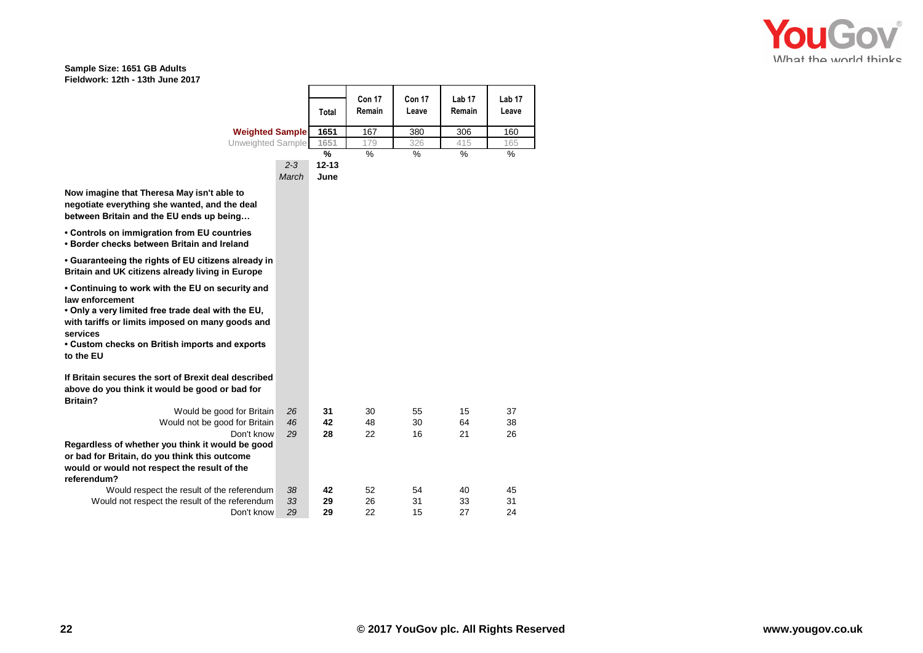## **Sample Size: 1651 GB Adults Fieldwork: 12th - 13th June 2017**

| FIEIUWOIK: IZIN - IJIN JUNE ZUTT                                                                                                                                                                                                            |         |           |                  |                 |                             |                            |
|---------------------------------------------------------------------------------------------------------------------------------------------------------------------------------------------------------------------------------------------|---------|-----------|------------------|-----------------|-----------------------------|----------------------------|
|                                                                                                                                                                                                                                             |         | Total     | Con 17<br>Remain | Con 17<br>Leave | Lab <sub>17</sub><br>Remain | Lab <sub>17</sub><br>Leave |
| <b>Weighted Sample</b>                                                                                                                                                                                                                      |         | 1651      | 167              | 380             | 306                         | 160                        |
| Unweighted Sample                                                                                                                                                                                                                           |         | 1651      | 179              | 326             | 415                         | 165                        |
|                                                                                                                                                                                                                                             |         | %         | $\frac{0}{0}$    | $\frac{1}{2}$   | $\frac{0}{0}$               | %                          |
|                                                                                                                                                                                                                                             | $2 - 3$ | $12 - 13$ |                  |                 |                             |                            |
|                                                                                                                                                                                                                                             | March   | June      |                  |                 |                             |                            |
| Now imagine that Theresa May isn't able to<br>negotiate everything she wanted, and the deal<br>between Britain and the EU ends up being                                                                                                     |         |           |                  |                 |                             |                            |
| • Controls on immigration from EU countries<br>. Border checks between Britain and Ireland                                                                                                                                                  |         |           |                  |                 |                             |                            |
| • Guaranteeing the rights of EU citizens already in<br>Britain and UK citizens already living in Europe                                                                                                                                     |         |           |                  |                 |                             |                            |
| • Continuing to work with the EU on security and<br>law enforcement<br>. Only a very limited free trade deal with the EU,<br>with tariffs or limits imposed on many goods and<br>services<br>• Custom checks on British imports and exports |         |           |                  |                 |                             |                            |
| to the EU                                                                                                                                                                                                                                   |         |           |                  |                 |                             |                            |
| If Britain secures the sort of Brexit deal described<br>above do you think it would be good or bad for<br><b>Britain?</b>                                                                                                                   |         |           |                  |                 |                             |                            |
| Would be good for Britain                                                                                                                                                                                                                   | 26      | 31        | 30               | 55              | 15                          | 37                         |
| Would not be good for Britain                                                                                                                                                                                                               | 46      | 42        | 48               | 30              | 64                          | 38                         |
| Don't know                                                                                                                                                                                                                                  | 29      | 28        | 22               | 16              | 21                          | 26                         |
| Regardless of whether you think it would be good                                                                                                                                                                                            |         |           |                  |                 |                             |                            |
| or bad for Britain, do you think this outcome                                                                                                                                                                                               |         |           |                  |                 |                             |                            |
| would or would not respect the result of the                                                                                                                                                                                                |         |           |                  |                 |                             |                            |
| referendum?                                                                                                                                                                                                                                 |         |           |                  |                 |                             |                            |
| Would respect the result of the referendum                                                                                                                                                                                                  | 38      | 42        | 52               | 54              | 40                          | 45                         |
| Would not respect the result of the referendum                                                                                                                                                                                              | 33      | 29        | 26               | 31              | 33                          | 31                         |
| Don't know                                                                                                                                                                                                                                  | 29      | 29        | 22               | 15              | 27                          | 24                         |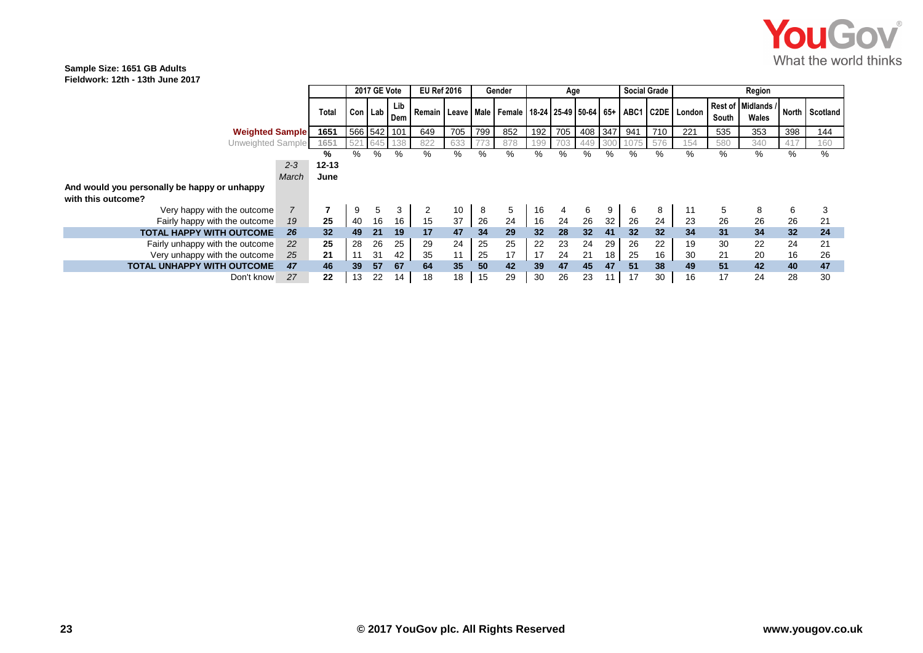

## **Sample Size: 1651 GB Adults Fieldwork: 12th - 13th June 2017**

|                                              |                   |    | 2017 GE Vote |            | <b>EU Ref 2016</b>             |     |     | Gender |                  | Age |                 |     | <b>Social Grade</b> |     | Region                                             |       |                             |     |                |
|----------------------------------------------|-------------------|----|--------------|------------|--------------------------------|-----|-----|--------|------------------|-----|-----------------|-----|---------------------|-----|----------------------------------------------------|-------|-----------------------------|-----|----------------|
|                                              | Total             |    | Con Lab I    | Lib<br>Dem | Remain   Leave   Male   Female |     |     |        |                  |     |                 |     |                     |     | 18-24   25-49   50-64   65+   ABC1   C2DE   London | South | Rest of Midlands /<br>Wales |     | North Scotland |
| <b>Weighted Sample</b>                       | 1651              |    | 566 542      | 101        | 649                            | 705 | 799 | 852    | 192 <sub>1</sub> | 705 | 408             | 347 | 941                 | 710 | 221                                                | 535   | 353                         | 398 | 144            |
| Unweighted Sample                            | l 65 <sup>.</sup> |    |              |            | 822                            | 633 |     | 878    | 99               |     |                 |     |                     | 576 | 154                                                | 580   | 340                         | 417 | 160            |
|                                              | ℅                 | %  | %            | %          | %                              | %   | ℅   | ℅      | %                | %   | ℅               | %   | ℅                   | ℅   | %                                                  | %     | %                           | %   | %              |
| $2 - 3$                                      | 12-13             |    |              |            |                                |     |     |        |                  |     |                 |     |                     |     |                                                    |       |                             |     |                |
| March                                        | June              |    |              |            |                                |     |     |        |                  |     |                 |     |                     |     |                                                    |       |                             |     |                |
| And would you personally be happy or unhappy |                   |    |              |            |                                |     |     |        |                  |     |                 |     |                     |     |                                                    |       |                             |     |                |
| with this outcome?                           |                   |    |              |            |                                |     |     |        |                  |     |                 |     |                     |     |                                                    |       |                             |     |                |
| Very happy with the outcome                  |                   | 9  | 5            | 3          |                                | 10  | -8  | 5      | 16               |     | 6               | 9   | 6                   | 8   | 11                                                 | 5     | 8                           | 6   |                |
| 19<br>Fairly happy with the outcome          | 25                | 40 | 16           | 16         | 15                             | 37  | 26  | 24     | 16               | 24  | 26              | 32  | 26                  | 24  | 23                                                 | 26    | 26                          | 26  | 21             |
| <b>TOTAL HAPPY WITH OUTCOME</b><br>26        | 32                | 49 | 21           | 19         | 17                             | 47  | 34  | 29     | 32               | 28  | 32 <sub>2</sub> | 41  | 32                  | 32  | 34                                                 | 31    | 34                          | 32  | 24             |
| Fairly unhappy with the outcome<br>22        | 25                | 28 | 26           | 25         | 29                             | 24  | 25  | 25     | 22               | 23  | 24              | 29  | 26                  | 22  | 19                                                 | 30    | 22                          | 24  | 21             |
| Very unhappy with the outcome<br>25          | 21                | 11 | 31           | 42         | 35                             | 11  | 25  | 17     | 17               | 24  | 21              | 18  | 25                  | 16  | 30                                                 | 21    | 20                          | 16  | 26             |
| <b>TOTAL UNHAPPY WITH OUTCOME</b><br>47      | 46                | 39 | 57           | 67         | 64                             | 35  | 50  | 42     | 39               | 47  | 45              | 47  | 51                  | 38  | 49                                                 | 51    | 42                          | 40  | 47             |
| 27<br>Don't know                             | 22                | 13 | 22           | 14         | 18                             | 18  | 15  | 29     | 30               | 26  | 23              | 11  | 17                  | 30  | 16                                                 | 17    | 24                          | 28  | 30             |